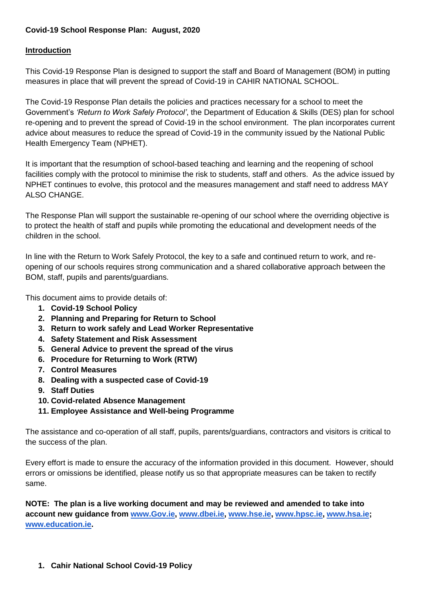# **Covid-19 School Response Plan: August, 2020**

## **Introduction**

This Covid-19 Response Plan is designed to support the staff and Board of Management (BOM) in putting measures in place that will prevent the spread of Covid-19 in CAHIR NATIONAL SCHOOL.

The Covid-19 Response Plan details the policies and practices necessary for a school to meet the Government's *'Return to Work Safely Protocol'*, the Department of Education & Skills (DES) plan for school re-opening and to prevent the spread of Covid-19 in the school environment. The plan incorporates current advice about measures to reduce the spread of Covid-19 in the community issued by the National Public Health Emergency Team (NPHET).

It is important that the resumption of school-based teaching and learning and the reopening of school facilities comply with the protocol to minimise the risk to students, staff and others. As the advice issued by NPHET continues to evolve, this protocol and the measures management and staff need to address MAY ALSO CHANGE.

The Response Plan will support the sustainable re-opening of our school where the overriding objective is to protect the health of staff and pupils while promoting the educational and development needs of the children in the school.

In line with the Return to Work Safely Protocol, the key to a safe and continued return to work, and reopening of our schools requires strong communication and a shared collaborative approach between the BOM, staff, pupils and parents/guardians.

This document aims to provide details of:

- **1. Covid-19 School Policy**
- **2. Planning and Preparing for Return to School**
- **3. Return to work safely and Lead Worker Representative**
- **4. Safety Statement and Risk Assessment**
- **5. General Advice to prevent the spread of the virus**
- **6. Procedure for Returning to Work (RTW)**
- **7. Control Measures**
- **8. Dealing with a suspected case of Covid-19**
- **9. Staff Duties**
- **10. Covid-related Absence Management**
- **11. Employee Assistance and Well-being Programme**

The assistance and co-operation of all staff, pupils, parents/guardians, contractors and visitors is critical to the success of the plan.

Every effort is made to ensure the accuracy of the information provided in this document. However, should errors or omissions be identified, please notify us so that appropriate measures can be taken to rectify same.

**NOTE: The plan is a live working document and may be reviewed and amended to take into account new guidance from [www.Gov.ie,](http://www.gov.ie/) [www.dbei.ie,](http://www.dbei.ie/) [www.hse.ie,](http://www.hse.ie/) [www.hpsc.ie,](http://www.hpsc.ie/) [www.hsa.ie;](http://www.hsa.ie/) [www.education.ie.](http://www.education.ie/)**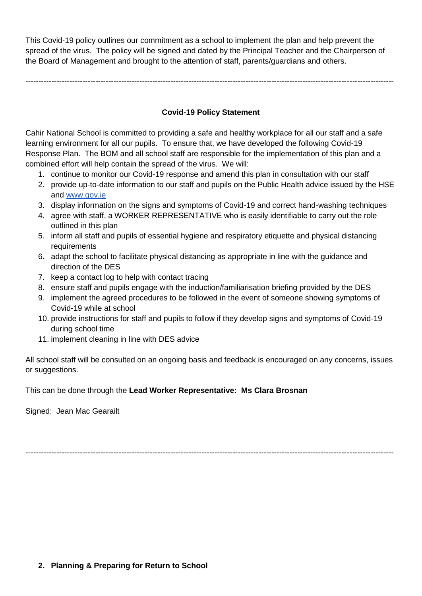This Covid-19 policy outlines our commitment as a school to implement the plan and help prevent the spread of the virus. The policy will be signed and dated by the Principal Teacher and the Chairperson of the Board of Management and brought to the attention of staff, parents/guardians and others.

----------------------------------------------------------------------------------------------------------------------------------------------

## **Covid-19 Policy Statement**

Cahir National School is committed to providing a safe and healthy workplace for all our staff and a safe learning environment for all our pupils. To ensure that, we have developed the following Covid-19 Response Plan. The BOM and all school staff are responsible for the implementation of this plan and a combined effort will help contain the spread of the virus. We will:

- 1. continue to monitor our Covid-19 response and amend this plan in consultation with our staff
- 2. provide up-to-date information to our staff and pupils on the Public Health advice issued by the HSE and [www.gov.ie](http://www.gov.ie/)
- 3. display information on the signs and symptoms of Covid-19 and correct hand-washing techniques
- 4. agree with staff, a WORKER REPRESENTATIVE who is easily identifiable to carry out the role outlined in this plan
- 5. inform all staff and pupils of essential hygiene and respiratory etiquette and physical distancing requirements
- 6. adapt the school to facilitate physical distancing as appropriate in line with the guidance and direction of the DES
- 7. keep a contact log to help with contact tracing
- 8. ensure staff and pupils engage with the induction/familiarisation briefing provided by the DES
- 9. implement the agreed procedures to be followed in the event of someone showing symptoms of Covid-19 while at school
- 10. provide instructions for staff and pupils to follow if they develop signs and symptoms of Covid-19 during school time
- 11. implement cleaning in line with DES advice

All school staff will be consulted on an ongoing basis and feedback is encouraged on any concerns, issues or suggestions.

This can be done through the **Lead Worker Representative: Ms Clara Brosnan**

Signed: Jean Mac Gearailt

----------------------------------------------------------------------------------------------------------------------------------------------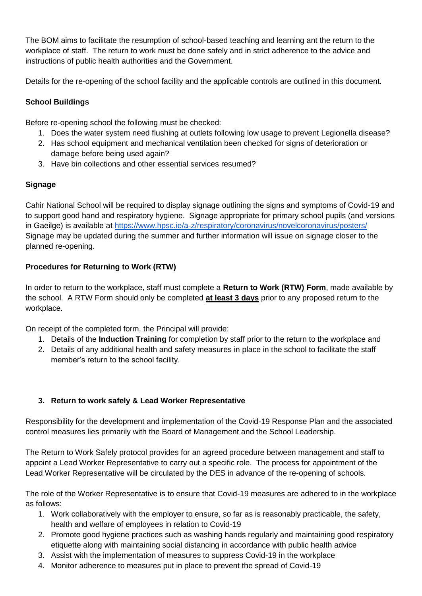The BOM aims to facilitate the resumption of school-based teaching and learning ant the return to the workplace of staff. The return to work must be done safely and in strict adherence to the advice and instructions of public health authorities and the Government.

Details for the re-opening of the school facility and the applicable controls are outlined in this document.

# **School Buildings**

Before re-opening school the following must be checked:

- 1. Does the water system need flushing at outlets following low usage to prevent Legionella disease?
- 2. Has school equipment and mechanical ventilation been checked for signs of deterioration or damage before being used again?
- 3. Have bin collections and other essential services resumed?

# **Signage**

Cahir National School will be required to display signage outlining the signs and symptoms of Covid-19 and to support good hand and respiratory hygiene. Signage appropriate for primary school pupils (and versions in Gaeilge) is available at<https://www.hpsc.ie/a-z/respiratory/coronavirus/novelcoronavirus/posters/> Signage may be updated during the summer and further information will issue on signage closer to the planned re-opening.

# **Procedures for Returning to Work (RTW)**

In order to return to the workplace, staff must complete a **Return to Work (RTW) Form**, made available by the school. A RTW Form should only be completed **at least 3 days** prior to any proposed return to the workplace.

On receipt of the completed form, the Principal will provide:

- 1. Details of the **Induction Training** for completion by staff prior to the return to the workplace and
- 2. Details of any additional health and safety measures in place in the school to facilitate the staff member's return to the school facility.

# **3. Return to work safely & Lead Worker Representative**

Responsibility for the development and implementation of the Covid-19 Response Plan and the associated control measures lies primarily with the Board of Management and the School Leadership.

The Return to Work Safely protocol provides for an agreed procedure between management and staff to appoint a Lead Worker Representative to carry out a specific role. The process for appointment of the Lead Worker Representative will be circulated by the DES in advance of the re-opening of schools.

The role of the Worker Representative is to ensure that Covid-19 measures are adhered to in the workplace as follows:

- 1. Work collaboratively with the employer to ensure, so far as is reasonably practicable, the safety, health and welfare of employees in relation to Covid-19
- 2. Promote good hygiene practices such as washing hands regularly and maintaining good respiratory etiquette along with maintaining social distancing in accordance with public health advice
- 3. Assist with the implementation of measures to suppress Covid-19 in the workplace
- 4. Monitor adherence to measures put in place to prevent the spread of Covid-19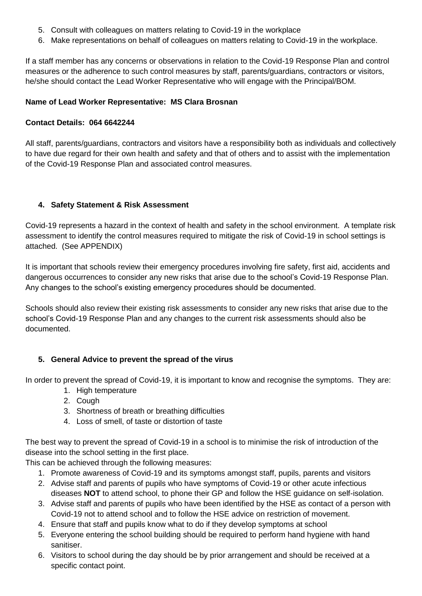- 5. Consult with colleagues on matters relating to Covid-19 in the workplace
- 6. Make representations on behalf of colleagues on matters relating to Covid-19 in the workplace.

If a staff member has any concerns or observations in relation to the Covid-19 Response Plan and control measures or the adherence to such control measures by staff, parents/guardians, contractors or visitors, he/she should contact the Lead Worker Representative who will engage with the Principal/BOM.

## **Name of Lead Worker Representative: MS Clara Brosnan**

#### **Contact Details: 064 6642244**

All staff, parents/guardians, contractors and visitors have a responsibility both as individuals and collectively to have due regard for their own health and safety and that of others and to assist with the implementation of the Covid-19 Response Plan and associated control measures.

## **4. Safety Statement & Risk Assessment**

Covid-19 represents a hazard in the context of health and safety in the school environment. A template risk assessment to identify the control measures required to mitigate the risk of Covid-19 in school settings is attached. (See APPENDIX)

It is important that schools review their emergency procedures involving fire safety, first aid, accidents and dangerous occurrences to consider any new risks that arise due to the school's Covid-19 Response Plan. Any changes to the school's existing emergency procedures should be documented.

Schools should also review their existing risk assessments to consider any new risks that arise due to the school's Covid-19 Response Plan and any changes to the current risk assessments should also be documented.

#### **5. General Advice to prevent the spread of the virus**

In order to prevent the spread of Covid-19, it is important to know and recognise the symptoms. They are:

- 1. High temperature
- 2. Cough
- 3. Shortness of breath or breathing difficulties
- 4. Loss of smell, of taste or distortion of taste

The best way to prevent the spread of Covid-19 in a school is to minimise the risk of introduction of the disease into the school setting in the first place.

This can be achieved through the following measures:

- 1. Promote awareness of Covid-19 and its symptoms amongst staff, pupils, parents and visitors
- 2. Advise staff and parents of pupils who have symptoms of Covid-19 or other acute infectious diseases **NOT** to attend school, to phone their GP and follow the HSE guidance on self-isolation.
- 3. Advise staff and parents of pupils who have been identified by the HSE as contact of a person with Covid-19 not to attend school and to follow the HSE advice on restriction of movement.
- 4. Ensure that staff and pupils know what to do if they develop symptoms at school
- 5. Everyone entering the school building should be required to perform hand hygiene with hand sanitiser.
- 6. Visitors to school during the day should be by prior arrangement and should be received at a specific contact point.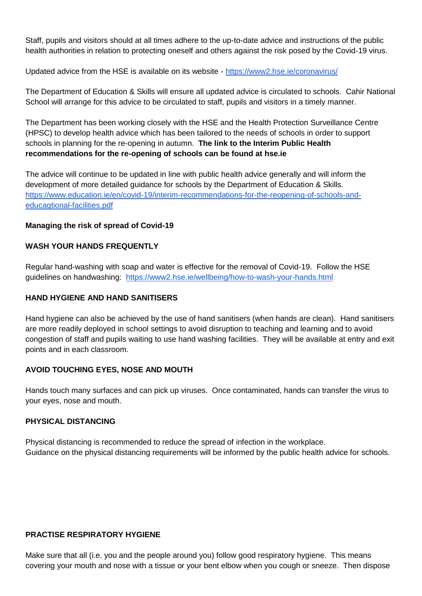Staff, pupils and visitors should at all times adhere to the up-to-date advice and instructions of the public health authorities in relation to protecting oneself and others against the risk posed by the Covid-19 virus.

Updated advice from the HSE is available on its website - <https://www2.hse.ie/coronavirus/>

The Department of Education & Skills will ensure all updated advice is circulated to schools. Cahir National School will arrange for this advice to be circulated to staff, pupils and visitors in a timely manner.

The Department has been working closely with the HSE and the Health Protection Surveillance Centre (HPSC) to develop health advice which has been tailored to the needs of schools in order to support schools in planning for the re-opening in autumn. **The link to the Interim Public Health recommendations for the re-opening of schools can be found at hse.ie**

The advice will continue to be updated in line with public health advice generally and will inform the development of more detailed guidance for schools by the Department of Education & Skills. [https://www.education.ie/en/covid-19/interim-recommendations-for-the-reopening-of-schools-and](https://www.education.ie/en/covid-19/interim-recommendations-for-the-reopening-of-schools-and-educagtional-facilities.pdf)[educagtional-facilities.pdf](https://www.education.ie/en/covid-19/interim-recommendations-for-the-reopening-of-schools-and-educagtional-facilities.pdf)

#### **Managing the risk of spread of Covid-19**

#### **WASH YOUR HANDS FREQUENTLY**

Regular hand-washing with soap and water is effective for the removal of Covid-19. Follow the HSE guidelines on handwashing: <https://www2.hse.ie/wellbeing/how-to-wash-your-hands.html>

#### **HAND HYGIENE AND HAND SANITISERS**

Hand hygiene can also be achieved by the use of hand sanitisers (when hands are clean). Hand sanitisers are more readily deployed in school settings to avoid disruption to teaching and learning and to avoid congestion of staff and pupils waiting to use hand washing facilities. They will be available at entry and exit points and in each classroom.

# **AVOID TOUCHING EYES, NOSE AND MOUTH**

Hands touch many surfaces and can pick up viruses. Once contaminated, hands can transfer the virus to your eyes, nose and mouth.

#### **PHYSICAL DISTANCING**

Physical distancing is recommended to reduce the spread of infection in the workplace. Guidance on the physical distancing requirements will be informed by the public health advice for schools.

#### **PRACTISE RESPIRATORY HYGIENE**

Make sure that all (i.e. you and the people around you) follow good respiratory hygiene. This means covering your mouth and nose with a tissue or your bent elbow when you cough or sneeze. Then dispose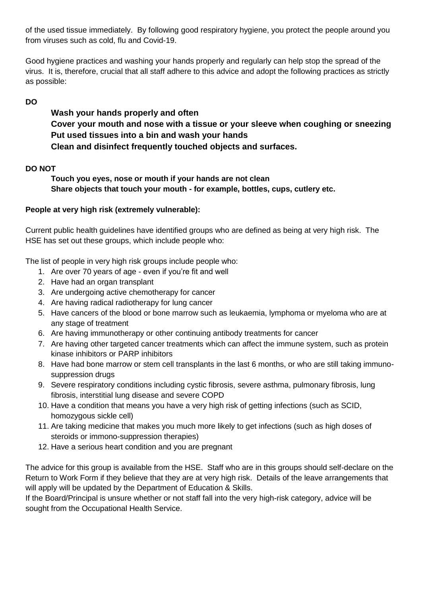of the used tissue immediately. By following good respiratory hygiene, you protect the people around you from viruses such as cold, flu and Covid-19.

Good hygiene practices and washing your hands properly and regularly can help stop the spread of the virus. It is, therefore, crucial that all staff adhere to this advice and adopt the following practices as strictly as possible:

**DO**

**Wash your hands properly and often Cover your mouth and nose with a tissue or your sleeve when coughing or sneezing Put used tissues into a bin and wash your hands Clean and disinfect frequently touched objects and surfaces.**

# **DO NOT**

**Touch you eyes, nose or mouth if your hands are not clean Share objects that touch your mouth - for example, bottles, cups, cutlery etc.**

# **People at very high risk (extremely vulnerable):**

Current public health guidelines have identified groups who are defined as being at very high risk. The HSE has set out these groups, which include people who:

The list of people in very high risk groups include people who:

- 1. Are over 70 years of age even if you're fit and well
- 2. Have had an organ transplant
- 3. Are undergoing active chemotherapy for cancer
- 4. Are having radical radiotherapy for lung cancer
- 5. Have cancers of the blood or bone marrow such as leukaemia, lymphoma or myeloma who are at any stage of treatment
- 6. Are having immunotherapy or other continuing antibody treatments for cancer
- 7. Are having other targeted cancer treatments which can affect the immune system, such as protein kinase inhibitors or PARP inhibitors
- 8. Have had bone marrow or stem cell transplants in the last 6 months, or who are still taking immunosuppression drugs
- 9. Severe respiratory conditions including cystic fibrosis, severe asthma, pulmonary fibrosis, lung fibrosis, interstitial lung disease and severe COPD
- 10. Have a condition that means you have a very high risk of getting infections (such as SCID, homozygous sickle cell)
- 11. Are taking medicine that makes you much more likely to get infections (such as high doses of steroids or immono-suppression therapies)
- 12. Have a serious heart condition and you are pregnant

The advice for this group is available from the HSE. Staff who are in this groups should self-declare on the Return to Work Form if they believe that they are at very high risk. Details of the leave arrangements that will apply will be updated by the Department of Education & Skills.

If the Board/Principal is unsure whether or not staff fall into the very high-risk category, advice will be sought from the Occupational Health Service.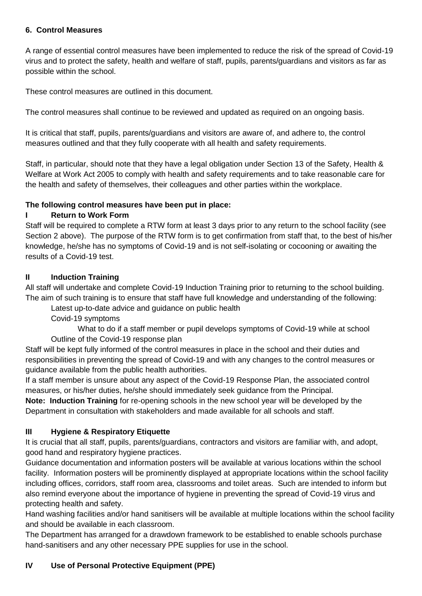# **6. Control Measures**

A range of essential control measures have been implemented to reduce the risk of the spread of Covid-19 virus and to protect the safety, health and welfare of staff, pupils, parents/guardians and visitors as far as possible within the school.

These control measures are outlined in this document.

The control measures shall continue to be reviewed and updated as required on an ongoing basis.

It is critical that staff, pupils, parents/guardians and visitors are aware of, and adhere to, the control measures outlined and that they fully cooperate with all health and safety requirements.

Staff, in particular, should note that they have a legal obligation under Section 13 of the Safety, Health & Welfare at Work Act 2005 to comply with health and safety requirements and to take reasonable care for the health and safety of themselves, their colleagues and other parties within the workplace.

## **The following control measures have been put in place:**

## **I Return to Work Form**

Staff will be required to complete a RTW form at least 3 days prior to any return to the school facility (see Section 2 above). The purpose of the RTW form is to get confirmation from staff that, to the best of his/her knowledge, he/she has no symptoms of Covid-19 and is not self-isolating or cocooning or awaiting the results of a Covid-19 test.

## **II Induction Training**

All staff will undertake and complete Covid-19 Induction Training prior to returning to the school building. The aim of such training is to ensure that staff have full knowledge and understanding of the following:

Latest up-to-date advice and guidance on public health

Covid-19 symptoms

What to do if a staff member or pupil develops symptoms of Covid-19 while at school Outline of the Covid-19 response plan

Staff will be kept fully informed of the control measures in place in the school and their duties and responsibilities in preventing the spread of Covid-19 and with any changes to the control measures or guidance available from the public health authorities.

If a staff member is unsure about any aspect of the Covid-19 Response Plan, the associated control measures, or his/her duties, he/she should immediately seek guidance from the Principal.

**Note: Induction Training** for re-opening schools in the new school year will be developed by the Department in consultation with stakeholders and made available for all schools and staff.

# **III Hygiene & Respiratory Etiquette**

It is crucial that all staff, pupils, parents/guardians, contractors and visitors are familiar with, and adopt, good hand and respiratory hygiene practices.

Guidance documentation and information posters will be available at various locations within the school facility. Information posters will be prominently displayed at appropriate locations within the school facility including offices, corridors, staff room area, classrooms and toilet areas. Such are intended to inform but also remind everyone about the importance of hygiene in preventing the spread of Covid-19 virus and protecting health and safety.

Hand washing facilities and/or hand sanitisers will be available at multiple locations within the school facility and should be available in each classroom.

The Department has arranged for a drawdown framework to be established to enable schools purchase hand-sanitisers and any other necessary PPE supplies for use in the school.

# **IV Use of Personal Protective Equipment (PPE)**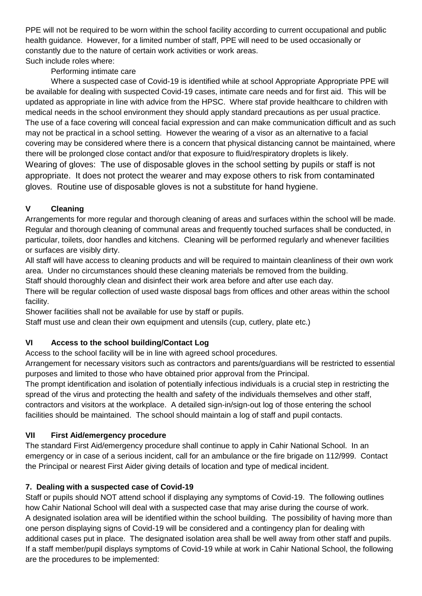PPE will not be required to be worn within the school facility according to current occupational and public health guidance. However, for a limited number of staff, PPE will need to be used occasionally or constantly due to the nature of certain work activities or work areas.

# Such include roles where:

Performing intimate care

Where a suspected case of Covid-19 is identified while at school Appropriate Appropriate PPE will be available for dealing with suspected Covid-19 cases, intimate care needs and for first aid. This will be updated as appropriate in line with advice from the HPSC. Where staf provide healthcare to children with medical needs in the school environment they should apply standard precautions as per usual practice. The use of a face covering will conceal facial expression and can make communication difficult and as such may not be practical in a school setting. However the wearing of a visor as an alternative to a facial covering may be considered where there is a concern that physical distancing cannot be maintained, where there will be prolonged close contact and/or that exposure to fluid/respiratory droplets is likely. Wearing of gloves: The use of disposable gloves in the school setting by pupils or staff is not appropriate. It does not protect the wearer and may expose others to risk from contaminated gloves. Routine use of disposable gloves is not a substitute for hand hygiene.

# **V Cleaning**

Arrangements for more regular and thorough cleaning of areas and surfaces within the school will be made. Regular and thorough cleaning of communal areas and frequently touched surfaces shall be conducted, in particular, toilets, door handles and kitchens. Cleaning will be performed regularly and whenever facilities or surfaces are visibly dirty.

All staff will have access to cleaning products and will be required to maintain cleanliness of their own work area. Under no circumstances should these cleaning materials be removed from the building.

Staff should thoroughly clean and disinfect their work area before and after use each day.

There will be regular collection of used waste disposal bags from offices and other areas within the school facility.

Shower facilities shall not be available for use by staff or pupils.

Staff must use and clean their own equipment and utensils (cup, cutlery, plate etc.)

# **VI Access to the school building/Contact Log**

Access to the school facility will be in line with agreed school procedures.

Arrangement for necessary visitors such as contractors and parents/guardians will be restricted to essential purposes and limited to those who have obtained prior approval from the Principal.

The prompt identification and isolation of potentially infectious individuals is a crucial step in restricting the spread of the virus and protecting the health and safety of the individuals themselves and other staff, contractors and visitors at the workplace. A detailed sign-in/sign-out log of those entering the school facilities should be maintained. The school should maintain a log of staff and pupil contacts.

# **VII First Aid/emergency procedure**

The standard First Aid/emergency procedure shall continue to apply in Cahir National School. In an emergency or in case of a serious incident, call for an ambulance or the fire brigade on 112/999. Contact the Principal or nearest First Aider giving details of location and type of medical incident.

# **7. Dealing with a suspected case of Covid-19**

Staff or pupils should NOT attend school if displaying any symptoms of Covid-19. The following outlines how Cahir National School will deal with a suspected case that may arise during the course of work. A designated isolation area will be identified within the school building. The possibility of having more than one person displaying signs of Covid-19 will be considered and a contingency plan for dealing with additional cases put in place. The designated isolation area shall be well away from other staff and pupils. If a staff member/pupil displays symptoms of Covid-19 while at work in Cahir National School, the following are the procedures to be implemented: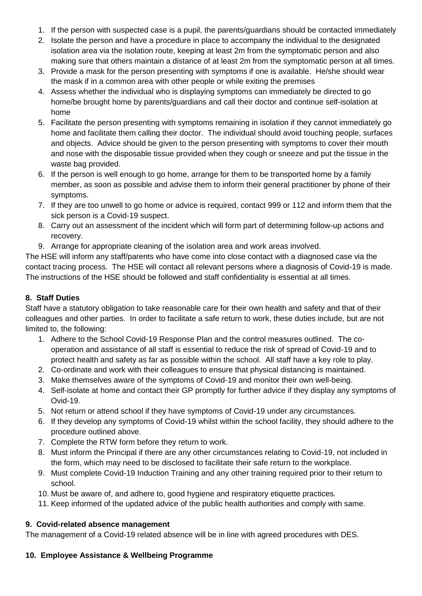- 1. If the person with suspected case is a pupil, the parents/guardians should be contacted immediately
- 2. Isolate the person and have a procedure in place to accompany the individual to the designated isolation area via the isolation route, keeping at least 2m from the symptomatic person and also making sure that others maintain a distance of at least 2m from the symptomatic person at all times.
- 3. Provide a mask for the person presenting with symptoms if one is available. He/she should wear the mask if in a common area with other people or while exiting the premises
- 4. Assess whether the individual who is displaying symptoms can immediately be directed to go home/be brought home by parents/guardians and call their doctor and continue self-isolation at home
- 5. Facilitate the person presenting with symptoms remaining in isolation if they cannot immediately go home and facilitate them calling their doctor. The individual should avoid touching people, surfaces and objects. Advice should be given to the person presenting with symptoms to cover their mouth and nose with the disposable tissue provided when they cough or sneeze and put the tissue in the waste bag provided.
- 6. If the person is well enough to go home, arrange for them to be transported home by a family member, as soon as possible and advise them to inform their general practitioner by phone of their symptoms.
- 7. If they are too unwell to go home or advice is required, contact 999 or 112 and inform them that the sick person is a Covid-19 suspect.
- 8. Carry out an assessment of the incident which will form part of determining follow-up actions and recovery.
- 9. Arrange for appropriate cleaning of the isolation area and work areas involved.

The HSE will inform any staff/parents who have come into close contact with a diagnosed case via the contact tracing process. The HSE will contact all relevant persons where a diagnosis of Covid-19 is made. The instructions of the HSE should be followed and staff confidentiality is essential at all times.

# **8. Staff Duties**

Staff have a statutory obligation to take reasonable care for their own health and safety and that of their colleagues and other parties. In order to facilitate a safe return to work, these duties include, but are not limited to, the following:

- 1. Adhere to the School Covid-19 Response Plan and the control measures outlined. The cooperation and assistance of all staff is essential to reduce the risk of spread of Covid-19 and to protect health and safety as far as possible within the school. All staff have a key role to play.
- 2. Co-ordinate and work with their colleagues to ensure that physical distancing is maintained.
- 3. Make themselves aware of the symptoms of Covid-19 and monitor their own well-being.
- 4. Self-isolate at home and contact their GP promptly for further advice if they display any symptoms of Ovid-19.
- 5. Not return or attend school if they have symptoms of Covid-19 under any circumstances.
- 6. If they develop any symptoms of Covid-19 whilst within the school facility, they should adhere to the procedure outlined above.
- 7. Complete the RTW form before they return to work.
- 8. Must inform the Principal if there are any other circumstances relating to Covid-19, not included in the form, which may need to be disclosed to facilitate their safe return to the workplace.
- 9. Must complete Covid-19 Induction Training and any other training required prior to their return to school.
- 10. Must be aware of, and adhere to, good hygiene and respiratory etiquette practices.
- 11. Keep informed of the updated advice of the public health authorities and comply with same.

# **9. Covid-related absence management**

The management of a Covid-19 related absence will be in line with agreed procedures with DES.

# **10. Employee Assistance & Wellbeing Programme**